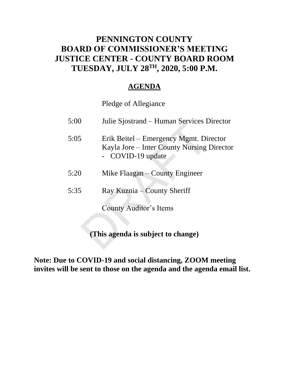## **PENNINGTON COUNTY BOARD OF COMMISSIONER'S MEETING JUSTICE CENTER - COUNTY BOARD ROOM TUESDAY, JULY 28TH , 2020, 5:00 P.M.**

### **AGENDA**

Pledge of Allegiance

| 5:00 | Julie Sjostrand – Human Services Director                                                                 |  |  |  |  |  |  |  |  |
|------|-----------------------------------------------------------------------------------------------------------|--|--|--|--|--|--|--|--|
| 5:05 | Erik Beitel – Emergency Mgmt. Director<br>Kayla Jore – Inter County Nursing Director<br>- COVID-19 update |  |  |  |  |  |  |  |  |
| 5:20 | Mike Flaagan – County Engineer                                                                            |  |  |  |  |  |  |  |  |
| 5:35 | Ray Kuznia – County Sheriff                                                                               |  |  |  |  |  |  |  |  |
|      | County Auditor's Items                                                                                    |  |  |  |  |  |  |  |  |
|      | (This agenda is subject to change)                                                                        |  |  |  |  |  |  |  |  |

**Note: Due to COVID-19 and social distancing, ZOOM meeting invites will be sent to those on the agenda and the agenda email list.**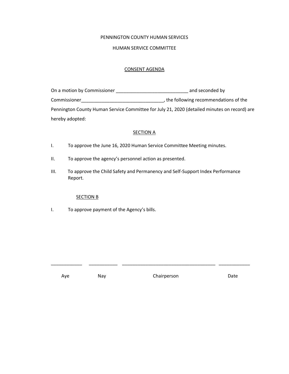### PENNINGTON COUNTY HUMAN SERVICES

#### HUMAN SERVICE COMMITTEE

#### CONSENT AGENDA

| On a motion by Commissioner | and seconded by                                                                              |
|-----------------------------|----------------------------------------------------------------------------------------------|
| Commissioner                | , the following recommendations of the                                                       |
|                             | Pennington County Human Service Committee for July 21, 2020 (detailed minutes on record) are |
| hereby adopted:             |                                                                                              |

#### **SECTION A**

- I. To approve the June 16, 2020 Human Service Committee Meeting minutes.
- II. To approve the agency's personnel action as presented.
- III. To approve the Child Safety and Permanency and Self-Support Index Performance Report.

#### SECTION B

I. To approve payment of the Agency's bills.

Aye Nay Nay Chairperson Date

\_\_\_\_\_\_\_\_\_\_\_\_ \_\_\_\_\_\_\_\_\_\_\_ \_\_\_\_\_\_\_\_\_\_\_\_\_\_\_\_\_\_\_\_\_\_\_\_\_\_\_\_\_\_\_\_\_\_\_\_ \_\_\_\_\_\_\_\_\_\_\_\_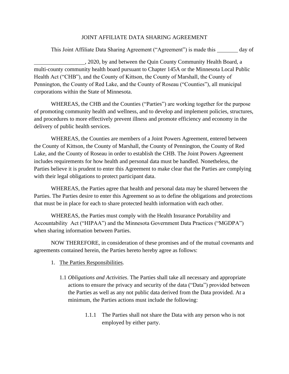### JOINT AFFILIATE DATA SHARING AGREEMENT

This Joint Affiliate Data Sharing Agreement ("Agreement") is made this day of

, 2020, by and between the Quin County Community Health Board, a multi-county community health board pursuant to Chapter 145A or the Minnesota Local Public Health Act ("CHB"), and the County of Kittson, the County of Marshall, the County of Pennington, the County of Red Lake, and the County of Roseau ("Counties"), all municipal corporations within the State of Minnesota.

WHEREAS, the CHB and the Counties ("Parties") are working together for the purpose of promoting community health and wellness, and to develop and implement policies, structures, and procedures to more effectively prevent illness and promote efficiency and economy in the delivery of public health services.

WHEREAS, the Counties are members of a Joint Powers Agreement, entered between the County of Kittson, the County of Marshall, the County of Pennington, the County of Red Lake, and the County of Roseau in order to establish the CHB. The Joint Powers Agreement includes requirements for how health and personal data must be handled. Nonetheless, the Parties believe it is prudent to enter this Agreement to make clear that the Parties are complying with their legal obligations to protect participant data.

WHEREAS, the Parties agree that health and personal data may be shared between the Parties. The Parties desire to enter this Agreement so as to define the obligations and protections that must be in place for each to share protected health information with each other.

WHEREAS, the Parties must comply with the Health Insurance Portability and Accountability Act ("HIPAA") and the Minnesota Government Data Practices ("MGDPA") when sharing information between Parties.

NOW THEREFORE, in consideration of these promises and of the mutual covenants and agreements contained herein, the Parties hereto hereby agree as follows:

- 1. The Parties Responsibilities.
	- 1.1 *Obligations and Activities*. The Parties shall take all necessary and appropriate actions to ensure the privacy and security of the data ("Data") provided between the Parties as well as any not public data derived from the Data provided. At a minimum, the Parties actions must include the following:
		- 1.1.1 The Parties shall not share the Data with any person who is not employed by either party.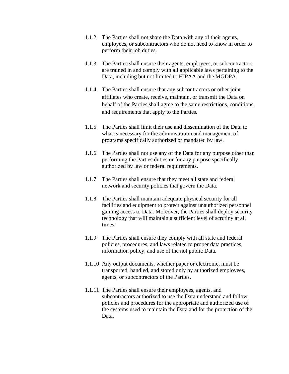- 1.1.2 The Parties shall not share the Data with any of their agents, employees, or subcontractors who do not need to know in order to perform their job duties.
- 1.1.3 The Parties shall ensure their agents, employees, or subcontractors are trained in and comply with all applicable laws pertaining to the Data, including but not limited to HIPAA and the MGDPA.
- 1.1.4 The Parties shall ensure that any subcontractors or other joint affiliates who create, receive, maintain, or transmit the Data on behalf of the Parties shall agree to the same restrictions, conditions, and requirements that apply to the Parties.
- 1.1.5 The Parties shall limit their use and dissemination of the Data to what is necessary for the administration and management of programs specifically authorized or mandated by law.
- 1.1.6 The Parties shall not use any of the Data for any purpose other than performing the Parties duties or for any purpose specifically authorized by law or federal requirements.
- 1.1.7 The Parties shall ensure that they meet all state and federal network and security policies that govern the Data.
- 1.1.8 The Parties shall maintain adequate physical security for all facilities and equipment to protect against unauthorized personnel gaining access to Data. Moreover, the Parties shall deploy security technology that will maintain a sufficient level of scrutiny at all times.
- 1.1.9 The Parties shall ensure they comply with all state and federal policies, procedures, and laws related to proper data practices, information policy, and use of the not public Data.
- 1.1.10 Any output documents, whether paper or electronic, must be transported, handled, and stored only by authorized employees, agents, or subcontractors of the Parties.
- 1.1.11 The Parties shall ensure their employees, agents, and subcontractors authorized to use the Data understand and follow policies and procedures for the appropriate and authorized use of the systems used to maintain the Data and for the protection of the Data.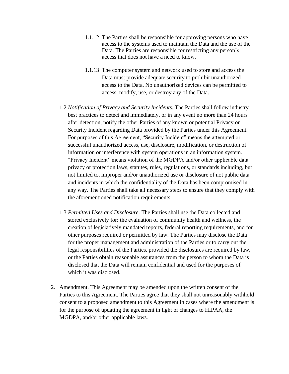- 1.1.12 The Parties shall be responsible for approving persons who have access to the systems used to maintain the Data and the use of the Data. The Parties are responsible for restricting any person's access that does not have a need to know.
- 1.1.13 The computer system and network used to store and access the Data must provide adequate security to prohibit unauthorized access to the Data. No unauthorized devices can be permitted to access, modify, use, or destroy any of the Data.
- 1.2 *Notification of Privacy and Security Incidents*. The Parties shall follow industry best practices to detect and immediately, or in any event no more than 24 hours after detection, notify the other Parties of any known or potential Privacy or Security Incident regarding Data provided by the Parties under this Agreement. For purposes of this Agreement, "Security Incident" means the attempted or successful unauthorized access, use, disclosure, modification, or destruction of information or interference with system operations in an information system. "Privacy Incident" means violation of the MGDPA and/or other applicable data privacy or protection laws, statutes, rules, regulations, or standards including, but not limited to, improper and/or unauthorized use or disclosure of not public data and incidents in which the confidentiality of the Data has been compromised in any way. The Parties shall take all necessary steps to ensure that they comply with the aforementioned notification requirements.
- 1.3 *Permitted Uses and Disclosure*. The Parties shall use the Data collected and stored exclusively for: the evaluation of community health and wellness, the creation of legislatively mandated reports, federal reporting requirements, and for other purposes required or permitted by law. The Parties may disclose the Data for the proper management and administration of the Parties or to carry out the legal responsibilities of the Parties, provided the disclosures are required by law, or the Parties obtain reasonable assurances from the person to whom the Data is disclosed that the Data will remain confidential and used for the purposes of which it was disclosed.
- 2. Amendment. This Agreement may be amended upon the written consent of the Parties to this Agreement. The Parties agree that they shall not unreasonably withhold consent to a proposed amendment to this Agreement in cases where the amendment is for the purpose of updating the agreement in light of changes to HIPAA, the MGDPA, and/or other applicable laws.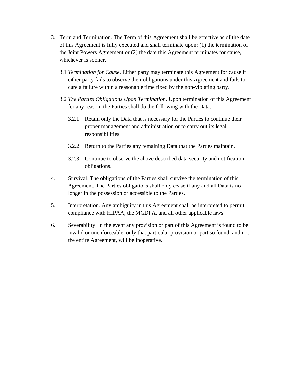- 3. Term and Termination. The Term of this Agreement shall be effective as of the date of this Agreement is fully executed and shall terminate upon: (1) the termination of the Joint Powers Agreement or (2) the date this Agreement terminates for cause, whichever is sooner.
	- 3.1 *Termination for Cause*. Either party may terminate this Agreement for cause if either party fails to observe their obligations under this Agreement and fails to cure a failure within a reasonable time fixed by the non-violating party.
	- 3.2 *The Parties Obligations Upon Termination*. Upon termination of this Agreement for any reason, the Parties shall do the following with the Data:
		- 3.2.1 Retain only the Data that is necessary for the Parties to continue their proper management and administration or to carry out its legal responsibilities.
		- 3.2.2 Return to the Parties any remaining Data that the Parties maintain.
		- 3.2.3 Continue to observe the above described data security and notification obligations.
- 4. Survival. The obligations of the Parties shall survive the termination of this Agreement. The Parties obligations shall only cease if any and all Data is no longer in the possession or accessible to the Parties.
- 5. Interpretation. Any ambiguity in this Agreement shall be interpreted to permit compliance with HIPAA, the MGDPA, and all other applicable laws.
- 6. Severability. In the event any provision or part of this Agreement is found to be invalid or unenforceable, only that particular provision or part so found, and not the entire Agreement, will be inoperative.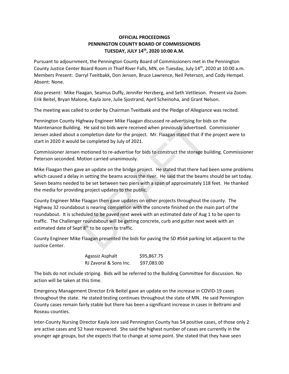### **OFFICIAL PROCEEDINGS PENNINGTON COUNTY BOARD OF COMMISSIONERS TUESDAY, JULY 14th, 2020 10:00 A.M.**

Pursuant to adjournment, the Pennington County Board of Commissioners met in the Pennington County Justice Center Board Room in Thief River Falls, MN, on Tuesday, July 14<sup>th</sup>, 2020 at 10:00 a.m. Members Present: Darryl Tveitbakk, Don Jensen, Bruce Lawrence, Neil Peterson, and Cody Hempel. Absent: None.

Also present: Mike Flaagan, Seamus Duffy, Jennifer Herzberg, and Seth Vettleson. Present via Zoom: Erik Beitel, Bryan Malone, Kayla Jore, Julie Sjostrand, April Scheinoha, and Grant Nelson.

The meeting was called to order by Chairman Tveitbakk and the Pledge of Allegiance was recited.

Pennington County Highway Engineer Mike Flaagan discussed re-advertising for bids on the Maintenance Building. He said no bids were received when previously advertised. Commissioner Jensen asked about a completion date for the project. Mr. Flaagan stated that if the project were to start in 2020 it would be completed by July of 2021.

Commissioner Jensen motioned to re-advertise for bids to construct the storage building. Commissioner Peterson seconded. Motion carried unanimously.

Mike Flaagan then gave an update on the bridge project. He stated that there had been some problems which caused a delay in setting the beams across the river. He said that the beams should be set today. Seven beams needed to be set between two piers with a span of approximately 118 feet. He thanked the media for providing project updates to the public.

County Engineer Mike Flaagan then gave updates on other projects throughout the county. The Highway 32 roundabout is nearing completion with the concrete finished on the main part of the roundabout. It is scheduled to be paved next week with an estimated date of Aug 1 to be open to traffic. The Challenger roundabout will be getting concrete, curb and gutter next week with an estimated date of Sept  $8<sup>th</sup>$  to be open to traffic. Entrark and no bids were received when previously advertising for bids. He said no bids were received when previously advertised.<br>
completion date for the project. Mr. Flaagan stated that if th<br>
be completed by July of 20

County Engineer Mike Flaagan presented the bids for paving the SD #564 parking lot adjacent to the Justice Center.

| Agassiz Asphalt        | \$95,867.75 |
|------------------------|-------------|
| RJ Zavoral & Sons Inc. | \$97,083.00 |

The bids do not include striping. Bids will be referred to the Building Committee for discussion. No action will be taken at this time.

Emergency Management Director Erik Beitel gave an update on the increase in COVID-19 cases throughout the state. He stated testing continues throughout the state of MN. He said Pennington County cases remain fairly stable but there has been a significant increase in cases in Beltrami and Roseau counties.

Inter-County Nursing Director Kayla Jore said Pennington County has 54 positive cases, of those only 2 are active cases and 52 have recovered. She said the highest number of cases are currently in the younger age groups, but she expects that to change at some point. She stated that they have seen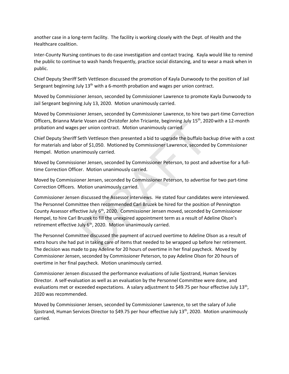another case in a long-term facility. The facility is working closely with the Dept. of Health and the Healthcare coalition.

Inter-County Nursing continues to do case investigation and contact tracing. Kayla would like to remind the public to continue to wash hands frequently, practice social distancing, and to wear a mask when in public.

Chief Deputy Sheriff Seth Vettleson discussed the promotion of Kayla Dunwoody to the position of Jail Sergeant beginning July  $13<sup>th</sup>$  with a 6-month probation and wages per union contract.

Moved by Commissioner Jenson, seconded by Commissioner Lawrence to promote Kayla Dunwoody to Jail Sergeant beginning July 13, 2020. Motion unanimously carried.

Moved by Commissioner Jensen, seconded by Commissioner Lawrence, to hire two part-time Correction Officers, Brianna Marie Vosen and Christofer John Triciante, beginning July 15<sup>th</sup>, 2020 with a 12-month probation and wages per union contract. Motion unanimously carried.

Chief Deputy Sheriff Seth Vettleson then presented a bid to upgrade the buffalo backup drive with a cost for materials and labor of \$1,050. Motioned by Commissioner Lawrence, seconded by Commissioner Hempel. Motion unanimously carried.

Moved by Commissioner Jensen, seconded by Commissioner Peterson, to post and advertise for a fulltime Correction Officer. Motion unanimously carried.

Moved by Commissioner Jensen, seconded by Commissioner Peterson, to advertise for two part-time Correction Officers. Motion unanimously carried.

Commissioner Jensen discussed the Assessor interviews. He stated four candidates were interviewed. The Personnel Committee then recommended Carl Bruzek be hired for the position of Pennington County Assessor effective July 6<sup>th</sup>, 2020. Commissioner Jensen moved, seconded by Commissioner Hempel, to hire Carl Bruzek to fill the unexpired appointment term as a result of Adeline Olson's retirement effective July  $6<sup>th</sup>$ , 2020. Motion unanimously carried. between and christoler bolin mitaline, beginning buy 15 , 20.<br>Der union contract. Motion unanimously carried.<br>The Vettleson then presented a bid to upgrade the buffalo ba<br>r of \$1,050. Motioned by Commissioner Lawrence, sec

The Personnel Committee discussed the payment of accrued overtime to Adeline Olson as a result of extra hours she had put in taking care of items that needed to be wrapped up before her retirement. The decision was made to pay Adeline for 20 hours of overtime in her final paycheck. Moved by Commissioner Jensen, seconded by Commissioner Peterson, to pay Adeline Olson for 20 hours of overtime in her final paycheck. Motion unanimously carried.

Commissioner Jensen discussed the performance evaluations of Julie Sjostrand, Human Services Director. A self-evaluation as well as an evaluation by the Personnel Committee were done, and evaluations met or exceeded expectations. A salary adjustment to \$49.75 per hour effective July 13<sup>th</sup>, 2020 was recommended.

Moved by Commissioner Jensen, seconded by Commissioner Lawrence, to set the salary of Julie Sjostrand, Human Services Director to \$49.75 per hour effective July 13<sup>th</sup>, 2020. Motion unanimously carried.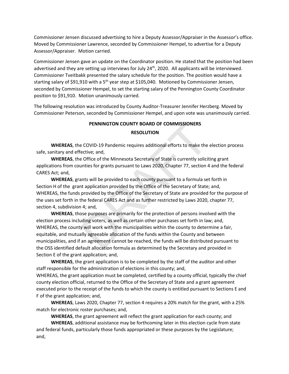Commissioner Jensen discussed advertising to hire a Deputy Assessor/Appraiser in the Assessor's office. Moved by Commissioner Lawrence, seconded by Commissioner Hempel, to advertise for a Deputy Assessor/Appraiser. Motion carried.

Commissioner Jensen gave an update on the Coordinator position. He stated that the position had been advertised and they are setting up interviews for July  $24<sup>th</sup>$ , 2020. All applicants will be interviewed. Commissioner Tveitbakk presented the salary schedule for the position. The position would have a starting salary of \$91,910 with a  $5<sup>th</sup>$  year step at \$105,040. Motioned by Commissioner Jensen, seconded by Commissioner Hempel, to set the starting salary of the Pennington County Coordinator position to \$91,910. Motion unanimously carried.

The following resolution was introduced by County Auditor-Treasurer Jennifer Herzberg. Moved by Commissioner Peterson, seconded by Commissioner Hempel, and upon vote was unanimously carried.

#### **PENNINGTON COUNTY BOARD OF COMMISSIONERS**

#### **RESOLUTION**

**WHEREAS**, the COVID-19 Pandemic requires additional efforts to make the election process safe, sanitary and effective; and,

**WHEREAS**, the Office of the Minnesota Secretary of State is currently soliciting grant applications from counties for grants pursuant to Laws 2020, Chapter 77, section 4 and the federal CARES Act; and,

**WHEREAS**, grants will be provided to each county pursuant to a formula set forth in Section H of the grant application provided by the Office of the Secretary of State; and, WHEREAS, the funds provided by the Office of the Secretary of State are provided for the purpose of the uses set forth in the federal CARES Act and as further restricted by Laws 2020, chapter 77, section 4, subdivision 4; and,

**WHEREAS**, those purposes are primarily for the protection of persons involved with the election process including voters, as well as certain other purchases set forth in law; and, WHEREAS, the county will work with the municipalities within the county to determine a fair, equitable, and mutually agreeable allocation of the funds within the County and between municipalities, and if an agreement cannot be reached, the funds will be distributed pursuant to the OSS identified default allocation formula as determined by the Secretary and provided in Section E of the grant application; and, **PENNINGTON COUNTY BOARD OF COMMISSIONERS**<br>**RESOLUTION**<br>**RESOLUTION**<br>**RESOLUTION**<br>**ECOVID-19** Pandemic requires additional efforts to make the<br>ective; and,<br>Deffice of the Minnesota Secretary of State is currently solicit<br>a

**WHEREAS**, the grant application is to be completed by the staff of the auditor and other staff responsible for the administration of elections in this county; and, WHEREAS, the grant application must be completed, certified by a county official, typically the chief

county election official, returned to the Office of the Secretary of State and a grant agreement executed prior to the receipt of the funds to which the county is entitled pursuant to Sections E and F of the grant application; and,

**WHEREAS**, Laws 2020, Chapter 77, section 4 requires a 20% match for the grant, with a 25% match for electronic roster purchases; and,

**WHEREAS**, the grant agreement will reflect the grant application for each county; and

**WHEREAS**, additional assistance may be forthcoming later in this election cycle from state and federal funds, particularly those funds appropriated or these purposes by the Legislature; and,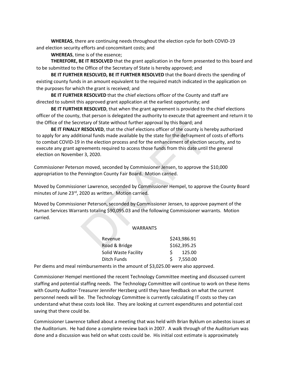**WHEREAS**, there are continuing needs throughout the election cycle for both COVID-19 and election security efforts and concomitant costs; and

**WHEREAS**, time is of the essence;

**THEREFORE, BE IT RESOLVED** that the grant application in the form presented to this board and to be submitted to the Office of the Secretary of State is hereby approved; and

**BE IT FURTHER RESOLVED, BE IT FURTHER RESOLVED** that the Board directs the spending of existing county funds in an amount equivalent to the required match indicated in the application on the purposes for which the grant is received; and

**BE IT FURTHER RESOLVED** that the chief elections officer of the County and staff are directed to submit this approved grant application at the earliest opportunity; and

**BE IT FURTHER RESOLVED**, that when the grant agreement is provided to the chief elections officer of the county, that person is delegated the authority to execute that agreement and return it to the Office of the Secretary of State without further approval by this Board; and

**BE IT FINALLY RESOLVED**, that the chief elections officer of the county is hereby authorized to apply for any additional funds made available by the state for the defrayment of costs of efforts to combat COVID-19 in the election process and for the enhancement of election security, and to execute any grant agreements required to access those funds from this date until the general election on November 3, 2020. etary of State without further approval by this Board; and<br> **RESOLVED**, that the chief elections officer of the county is he<br>
tional funds made available by the state for the defrayment of<br>
in the election process and for

Commissioner Peterson moved, seconded by Commissioner Jensen, to approve the \$10,000 appropriation to the Pennington County Fair Board. Motion carried.

Moved by Commissioner Lawrence, seconded by Commissioner Hempel, to approve the County Board minutes of June 23<sup>rd</sup>, 2020 as written. Motion carried.

Moved by Commissioner Peterson, seconded by Commissioner Jensen, to approve payment of the Human Services Warrants totaling \$90,095.03 and the following Commissioner warrants. Motion carried.

#### WARRANTS

| \$243,986.91 |
|--------------|
| \$162,395.25 |
| 125.00       |
| $5$ 7.550.00 |
|              |

Per diems and meal reimbursements in the amount of \$3,025.00 were also approved.

Commissioner Hempel mentioned the recent Technology Committee meeting and discussed current staffing and potential staffing needs. The Technology Committee will continue to work on these items with County Auditor-Treasurer Jennifer Herzberg until they have feedback on what the current personnel needs will be. The Technology Committee is currently calculating IT costs so they can understand what these costs look like. They are looking at current expenditures and potential cost saving that there could be.

Commissioner Lawrence talked about a meeting that was held with Brian Byklum on asbestos issues at the Auditorium. He had done a complete review back in 2007. A walk through of the Auditorium was done and a discussion was held on what costs could be. His initial cost estimate is approximately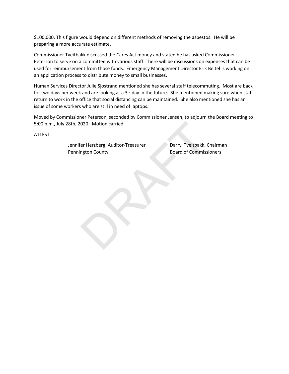\$100,000. This figure would depend on different methods of removing the asbestos. He will be preparing a more accurate estimate.

Commissioner Tveitbakk discussed the Cares Act money and stated he has asked Commissioner Peterson to serve on a committee with various staff. There will be discussions on expenses that can be used for reimbursement from those funds. Emergency Management Director Erik Beitel is working on an application process to distribute money to small businesses.

Human Services Director Julie Sjostrand mentioned she has several staff telecommuting. Most are back for two days per week and are looking at a 3<sup>rd</sup> day in the future. She mentioned making sure when staff return to work in the office that social distancing can be maintained. She also mentioned she has an issue of some workers who are still in need of laptops.

Moved by Commissioner Peterson, seconded by Commissioner Jensen, to adjourn the Board meeting to 5:00 p.m., July 28th, 2020. Motion carried.

ATTEST:

Jennifer Herzberg, Auditor-Treasurer Darryl Tveitbakk, Chairman Pennington County **Board of Commissioners** 020. Motion carried.<br>
er Herzberg, Auditor-Treasurer Darryl Tveitbakk, C<br>
Board of Commissi<br>
Board of Commissi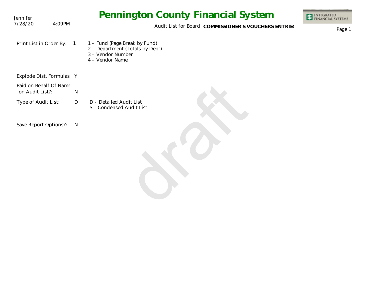| Jennifer                                  |                | <b>Pennington County Financial System</b>                                                                | <b>INTEGRATED<br/>FINANCIAL SYSTEMS</b> |
|-------------------------------------------|----------------|----------------------------------------------------------------------------------------------------------|-----------------------------------------|
| 7/28/20<br>4:09PM                         |                | Audit List for Board COMMISSIONER'S VOUCHERS ENTRIES                                                     | Page 1                                  |
| Print List in Order By:                   | $\overline{1}$ | 1 - Fund (Page Break by Fund)<br>2 - Department (Totals by Dept)<br>3 - Vendor Number<br>4 - Vendor Name |                                         |
| Explode Dist. Formulas Y                  |                |                                                                                                          |                                         |
| Paid on Behalf Of Name<br>on Audit List?: | $\mathsf{N}$   |                                                                                                          |                                         |
| Type of Audit List:                       | D              | D - Detailed Audit List<br>S - Condensed Audit List                                                      |                                         |
| Save Report Options?:                     | $\mathsf{N}$   |                                                                                                          |                                         |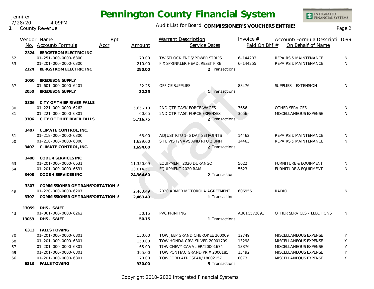Audit List for Board COMMISSIONER'S VOUCHERS ENTRIES<br>Page 2

|    |       | Vendor Name                      | Rpt  |           | <b>Warrant Description</b>         | Invoice $#$   | Account/Formula Descripti 1099   |         |
|----|-------|----------------------------------|------|-----------|------------------------------------|---------------|----------------------------------|---------|
|    |       | No. Account/Formula              | Accr | Amount    | Service Dates                      | Paid On Bhf # | On Behalf of Name                |         |
|    | 2324  | BERGSTROM ELECTRIC INC           |      |           |                                    |               |                                  |         |
| 52 |       | 01-251-000-0000-6300             |      | 70.00     | <b>TWISTLOCK ENDS/POWER STRIPS</b> | 6-144203      | REPAIRS & MAINTENANCE            | N       |
| 53 |       | 01-201-000-0000-6300             |      | 210.00    | FIX SPRINKLER HEAD, RESET FIRE     | 6-144255      | REPAIRS & MAINTENANCE            | N.      |
|    | 2324  | BERGSTROM ELECTRIC INC           |      | 280.00    | 2 Transactions                     |               |                                  |         |
|    | 2050  | <b>BREDESON SUPPLY</b>           |      |           |                                    |               |                                  |         |
| 87 |       | 01-601-000-0000-6401             |      | 32.25     | OFFICE SUPPLIES                    | 88476         | SUPPLIES - EXTENSION             | N       |
|    | 2050  | <b>BREDESON SUPPLY</b>           |      | 32.25     | 1 Transactions                     |               |                                  |         |
|    | 3306  | CITY OF THIEF RIVER FALLS        |      |           |                                    |               |                                  |         |
| 30 |       | 01-221-000-0000-6262             |      | 5,656.10  | 2ND QTR TASK FORCE WAGES           | 3656          | <b>OTHER SERVICES</b>            | N       |
| 31 |       | 01-221-000-0000-6801             |      | 60.65     | 2ND OTR TASK FORCE EXPENSES        | 3656          | MISCELLANEOUS EXPENSE            | N       |
|    | 3306  | CITY OF THIEF RIVER FALLS        |      | 5,716.75  | 2 Transactions                     |               |                                  |         |
|    | 3407  | CLIMATE CONTROL, INC.            |      |           |                                    |               |                                  |         |
| 51 |       | 01-218-000-0000-6300             |      | 65.00     | ADJUST RTU 1-6 DAT SETPOINTS       | 14462         | REPAIRS & MAINTENANCE            | N       |
| 50 |       | 01-218-000-0000-6300             |      | 1,629.00  | SITE VISIT/VAVS AND RTU 2 UNIT     | 14463         | REPAIRS & MAINTENANCE            | N       |
|    | 3407  | CLIMATE CONTROL, INC.            |      | 1,694.00  | 2 Transactions                     |               |                                  |         |
|    | 3408  | CODE 4 SERVICES INC              |      |           |                                    |               |                                  |         |
| 63 |       | 01-201-000-0000-6631             |      | 11,350.09 | EQUIPMENT 2020 DURANGO             | 5622          | <b>FURNITURE &amp; EQUIPMENT</b> | N       |
| 64 |       | 01-201-000-0000-6631             |      | 13,014.51 | EQUIPMENT 2020 RAM                 | 5623          | <b>FURNITURE &amp; EQUIPMENT</b> | N       |
|    | 3408  | CODE 4 SERVICES INC              |      | 24,364.60 | 2 Transactions                     |               |                                  |         |
|    | 3307  | COMMISSIONER OF TRANSPORTATION-S |      |           |                                    |               |                                  |         |
| 49 |       | 01-220-000-0000-6207             |      | 2,463.49  | 2020 ARMER MOTOROLA AGREEMENT      | 606956        | RADIO                            | N.      |
|    | 3307  | COMMISSIONER OF TRANSPORTATION-S |      | 2,463.49  | 1 Transactions                     |               |                                  |         |
|    | 13059 | DHS - SWIFT                      |      |           |                                    |               |                                  |         |
| 43 |       | 01-061-000-0000-6262             |      | 50.15     | <b>PVC PRINTING</b>                | A301C572091   | OTHER SERVICES - ELECTIONS       | N       |
|    | 13059 | DHS - SWIFT                      |      | 50.15     | 1 Transactions                     |               |                                  |         |
|    |       | 6313 FALLS TOWING                |      |           |                                    |               |                                  |         |
| 70 |       | 01-201-000-0000-6801             |      | 150.00    | TOW JEEP GRAND CHEROKEE 200009     | 12749         | MISCELLANEOUS EXPENSE            | Y       |
| 68 |       | 01-201-000-0000-6801             |      | 150.00    | TOW HONDA CRV-SILVER 20001709      | 13298         | MISCELLANEOUS EXPENSE            | Y       |
| 67 |       | 01-201-000-0000-6801             |      | 65.00     | TOW CHEVY CAVALIER/20001674        | 13376         | MISCELLANEOUS EXPENSE            | Υ       |
| 69 |       | 01-201-000-0000-6801             |      | 395.00    | TOW PONTIAC GRAND PRIX 2000185     | 13492         | MISCELLANEOUS EXPENSE            | $\sf Y$ |
| 66 |       | 01-201-000-0000-6801             |      | 170.00    | TOW FORD AEROSTAR/18002157         | 8073          | MISCELLANEOUS EXPENSE            | Y       |

Copyright 2010-2020 Integrated Financial Systems

**6313** Transactions **FALLS TOWING**

**930.00 5**

Jennifer 7/28/20 4:09PM

**1** County Revenue

## INTEGRATED<br>FINANCIAL SYSTEMS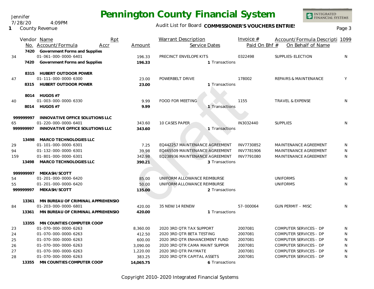Jennifer 7/28/20 4:09PM

**1** County Revenue

### Audit List for Board COMMISSIONER'S VOUCHERS ENTRIES<br>Page 3

|           | Rpt<br>Vendor Name                |           | <b>Warrant Description</b>     | Invoice $#$   | Account/Formula Descripti 1099   |              |
|-----------|-----------------------------------|-----------|--------------------------------|---------------|----------------------------------|--------------|
|           | No. Account/Formula<br>Accr       | Amount    | Service Dates                  | Paid On Bhf # | On Behalf of Name                |              |
| 7420      | Government Forms and Supplies     |           |                                |               |                                  |              |
| 34        | 01-061-000-0000-6401              | 196.33    | PRECINCT ENVELOPE KITS         | 0322498       | SUPPLIES-ELECTION                | N            |
| 7420      | Government Forms and Supplies     | 196.33    | 1 Transactions                 |               |                                  |              |
|           | 8315 HUBERT OUTDOOR POWER         |           |                                |               |                                  |              |
| 47        | 01-111-000-0000-6300              | 23.00     | POWERBELT DRIVE                | 178002        | <b>REPAIRS &amp; MAINTENANCE</b> | Y            |
|           | 8315 HUBERT OUTDOOR POWER         | 23.00     | 1 Transactions                 |               |                                  |              |
|           | 8014 HUGOS #7                     |           |                                |               |                                  |              |
| 40        | 01-003-000-0000-6330              | 9.99      | <b>FOOD FOR MEETING</b>        | 1155          | TRAVEL & EXPENSE                 | N            |
|           | 8014 HUGOS #7                     | 9.99      | 1 Transactions                 |               |                                  |              |
| 99999997  | INNOVATIVE OFFICE SOLUTIONS LLC   |           |                                |               |                                  |              |
| 65        | 01-220-000-0000-6401              | 343.60    | 10 CASES PAPER                 | IN3032440     | <b>SUPPLIES</b>                  | N            |
| 99999997  | INNOVATIVE OFFICE SOLUTIONS LLC   | 343.60    | 1 Transactions                 |               |                                  |              |
| 13498     | MARCO TECHNOLOGIES LLC            |           |                                |               |                                  |              |
| 29        | 01-101-000-0000-6301              | 7.25      | EQ442257 MAINTENANCE AGREEMENT | INV7730852    | MAINTENANCE AGREEMENT            | N            |
| 94        | 01-132-000-0000-6301              | 39.98     | EQ465509 MAINTENANCE AGREEMENT | INV7781906    | MAINTENANCE AGREEMENT            | N            |
| 159       | 01-801-000-0000-6301              | 342.98    | EQ238936 MAINTENANCE AGREEMENT | INV7791080    | MAINTENANCE AGREEMENT            | N            |
| 13498     | <b>MARCO TECHNOLOGIES LLC</b>     | 390.21    | 3 Transactions                 |               |                                  |              |
| 99999997  | MEKASH/SCOTT                      |           |                                |               |                                  |              |
| 54        | 01-201-000-0000-6420              | 85.00     | UNIFORM ALLOWANCE REIMBURSE    |               | <b>UNIFORMS</b>                  | N            |
| 55        | 01-201-000-0000-6420              | 50.00     | UNIFORM ALLOWANCE REIMBURSE    |               | <b>UNIFORMS</b>                  | N.           |
| 999999997 | MEKASH/SCOTT                      | 135.00    | 2 Transactions                 |               |                                  |              |
| 13361     | MN BUREAU OF CRIMINAL APPREHENSIO |           |                                |               |                                  |              |
| 84        | 01-203-000-0000-6801              | 420.00    | 35 NEW/14 RENEW                | 57-000064     | <b>GUN PERMIT - MISC</b>         | N.           |
| 13361     | MN BUREAU OF CRIMINAL APPREHENSIO | 420.00    | 1 Transactions                 |               |                                  |              |
| 13355     | MN COUNTIES COMPUTER COOP         |           |                                |               |                                  |              |
| 23        | 01-070-000-0000-6263              | 8,360.00  | 2020 3RD QTR TAX SUPPORT       | 2007081       | COMPUTER SERVICES - DP           | N            |
| 24        | 01-070-000-0000-6263              | 412.50    | 2020 3RD QTR BETA TESTING      | 2007081       | COMPUTER SERVICES - DP           | N            |
| 25        | 01-070-000-0000-6263              | 600.00    | 2020 3RD QTR ENHANCEMENT FUND  | 2007081       | COMPUTER SERVICES - DP           | N            |
| 26        | 01-070-000-0000-6263              | 3,090.00  | 2020 3RD QTR CAMA MAINT SUPPOR | 2007081       | COMPUTER SERVICES - DP           | N            |
| 27        | 01-070-000-0000-6263              | 1,220.00  | 2020 3RD QTR PAYMATE           | 2007081       | COMPUTER SERVICES - DP           | $\mathsf{N}$ |
| 28        | 01-070-000-0000-6263              | 383.25    | 2020 3RD QTR CAPITAL ASSETS    | 2007081       | <b>COMPUTER SERVICES - DP</b>    | N            |
| 13355     | MN COUNTIES COMPUTER COOP         | 14,065.75 | 6 Transactions                 |               |                                  |              |

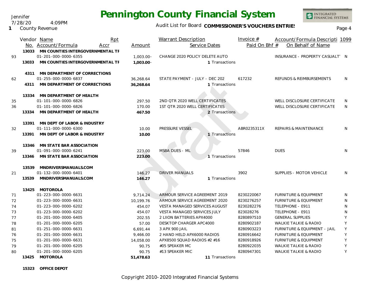Jennifer 7/28/20 4:09PM

**1** County Revenue

### Audit List for Board COMMISSIONER'S VOUCHERS ENTRIES<br>Page 4

INTEGRATED<br>FINANCIAL SYSTEMS

|    |       | Vendor Name<br>Rpt<br>No. Account/Formula<br>Accr        | Amount       | <b>Warrant Description</b><br>Service Dates | Invoice $#$<br>Paid On Bhf # | Account/Formula Descripti 1099<br>On Behalf of Name |   |
|----|-------|----------------------------------------------------------|--------------|---------------------------------------------|------------------------------|-----------------------------------------------------|---|
| 93 | 13033 | MN COUNTIES INTERGOVERNMENTAL TF<br>01-201-000-0000-6355 | $1,003.00 -$ | CHANGE 2020 POLICY DELETE AUTO              |                              | INSURANCE - PROPERTY CASUALT' N                     |   |
|    | 13033 | MN COUNTIES INTERGOVERNMENTAL TF                         | $1,003.00 -$ | 1 Transactions                              |                              |                                                     |   |
|    | 4311  | MN DEPARTMENT OF CORRECTIONS                             |              |                                             |                              |                                                     |   |
| 62 |       | 01-255-000-0000-6837                                     | 36,268.64    | STATE PAYMENT - JULY - DEC 202              | 617232                       | REFUNDS & REIMBURSEMENTS                            | N |
|    | 4311  | MN DEPARTMENT OF CORRECTIONS                             | 36,268.64    | 1 Transactions                              |                              |                                                     |   |
|    | 13334 | MN DEPARTMENT OF HEALTH                                  |              |                                             |                              |                                                     |   |
| 35 |       | 01-101-000-0000-6826                                     | 297.50       | 2ND QTR 2020 WELL CERTIFICATES              |                              | WELL DISCLOSURE CERTIFICATE                         | N |
| 36 |       | 01-101-000-0000-6826                                     | 170.00       | 1ST QTR 2020 WELL CERTIFICATES              |                              | WELL DISCLOSURE CERTIFICATE                         | N |
|    | 13334 | MN DEPARTMENT OF HEALTH                                  | 467.50       | 2 Transactions                              |                              |                                                     |   |
|    | 13391 | MN DEPT OF LABOR & INDUSTRY                              |              |                                             |                              |                                                     |   |
| 32 |       | 01-111-000-0000-6300                                     | 10.00        | PRESSURE VESSEL                             | ABR0235311X                  | <b>REPAIRS &amp; MAINTENANCE</b>                    | N |
|    | 13391 | MN DEPT OF LABOR & INDUSTRY                              | 10.00        | 1 Transactions                              |                              |                                                     |   |
|    |       |                                                          |              |                                             |                              |                                                     |   |
|    | 13346 | MN STATE BAR ASSOCIATION                                 |              |                                             |                              |                                                     |   |
| 39 |       | 01-091-000-0000-6241                                     | 223.00       | MSBA DUES - ML                              | 57846                        | <b>DUES</b>                                         | N |
|    | 13346 | MN STATE BAR ASSOCIATION                                 | 223.00       | 1 Transactions                              |                              |                                                     |   |
|    | 13539 | MNDRIVERSMANUALS.COM                                     |              |                                             |                              |                                                     |   |
| 21 |       | 01-132-000-0000-6401                                     | 146.27       | <b>DRIVER MANUALS</b>                       | 3902                         | SUPPLIES - MOTOR VEHICLE                            | N |
|    | 13539 | MNDRIVERSMANUALS.COM                                     | 146.27       | 1 Transactions                              |                              |                                                     |   |
|    |       |                                                          |              |                                             |                              |                                                     |   |
|    | 13425 | MOTOROLA                                                 |              |                                             |                              |                                                     |   |
| 71 |       | 01-223-000-0000-6631                                     | 9,714.24     | ARMOUR SERVICE AGREEMENT 2019               | 8230220067                   | <b>FURNITURE &amp; EQUIPMENT</b>                    | N |
| 72 |       | 01-223-000-0000-6631                                     | 10,199.76    | ARMOUR SERVICE AGREEMENT 2020               | 8230276257                   | <b>FURNITURE &amp; EQUIPMENT</b>                    | N |
| 74 |       | 01-223-000-0000-6202                                     | 454.07       | <b>VESTA MANAGED SERVICES AUGUST</b>        | 8230282276                   | TELEPHONE - E911                                    | N |
| 73 |       | 01-223-000-0000-6202                                     | 454.07       | <b>VESTA MANAGED SERVICES JULY</b>          | 823028276                    | TELEPHONE - E911                                    | N |
| 77 |       | 01-201-000-0000-6405                                     | 202.55       | 2 LIION BATTERIES APX4000                   | 8280897510                   | <b>GENERAL SUPPLIES</b>                             | Y |
| 78 |       | 01-201-000-0000-6205                                     | 57.00        | DESKTOP CHARGER APC4000                     | 8280902187                   | WALKIE TALKIE & RADIO                               | Y |
| 81 |       | 01-251-000-0000-6631                                     | 6,691.44     | 3 APX 900 JAIL                              | 8280903223                   | FURNITURE & EQUIPMENT - JAIL                        | Y |
| 76 |       | 01-201-000-0000-6631                                     | 9,466.00     | 2 HAND HELD APX6000 RADIOS                  | 8280916642                   | <b>FURNITURE &amp; EQUIPMENT</b>                    | Y |
| 75 |       | 01-201-000-0000-6631                                     | 14,058.00    | APX8500 SQUAD RADIOS #2 #16                 | 8280918926                   | <b>FURNITURE &amp; EQUIPMENT</b>                    | Y |
| 79 |       | 01-201-000-0000-6205                                     | 90.75        | #05 SPEAKER MC                              | 8280922035                   | <b>WALKIE TALKIE &amp; RADIO</b>                    | Y |
| 80 |       | 01-201-000-0000-6205                                     | 90.75        | #13 SPEAKER MIC                             | 8280947301                   | <b>WALKIE TALKIE &amp; RADIO</b>                    | Y |

13425 MOTOROLA **13425 MOTOROLA 13425 MOTOROLA 11 Transactions MOTOROLA**

**15323 OFFICE DEPOT**

 $51,478.63$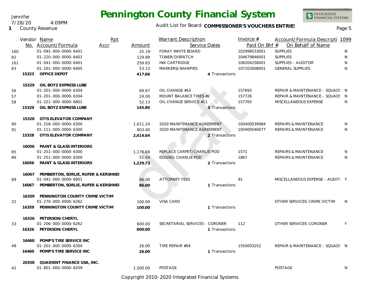Jennifer 7/28/20 4:09PM

**1** County Revenue

### Audit List for Board COMMISSIONER'S VOUCHERS ENTRIES<br>Page 5

INTEGRATED<br>FINANCIAL SYSTEMS

|     |       | Vendor Name                               | Rpt  |           | <b>Warrant Description</b>     |                | Invoice $#$   | Account/Formula Descripti 1099   |              |
|-----|-------|-------------------------------------------|------|-----------|--------------------------------|----------------|---------------|----------------------------------|--------------|
|     |       | No. Account/Formula                       | Accr | Amount    | Service Dates                  |                | Paid On Bhf # | On Behalf of Name                |              |
| 160 |       | 01-091-000-0000-6401                      |      | $25.19 -$ | FORAY WHITE BOARD              |                | 102998533001  | <b>SUPPLIES</b>                  | N            |
| 82  |       | 01-220-000-0000-6401                      |      | 129.89    | TONER/DISPATCH                 |                | 104679846001  | <b>SUPPLIES</b>                  | N            |
| 161 |       | 01-041-000-0000-6401                      |      | 259.83    | <b>INK CARTRIDGE</b>           |                | 106204258001  | SUPPLIES - AUDITOR               | N            |
| 83  |       | 01-201-000-0000-6405                      |      | 53.13     | MARKERS/SHARPIES               |                | 107103008001  | <b>GENERAL SUPPLIES</b>          | N            |
|     | 15323 | OFFICE DEPOT                              |      | 417.66    |                                | 4 Transactions |               |                                  |              |
|     | 15329 | OIL BOYZ EXPRESS LUBE                     |      |           |                                |                |               |                                  |              |
| 56  |       | 01-201-000-0000-6304                      |      | 69.67     | OIL CHANGE #10                 |                | 157693        | REPAIR & MAINTENANCE - SQUAD! N  |              |
| 57  |       | 01-201-000-0000-6304                      |      | 24.00     | MOUNT BALANCE TIRES #2         |                | 157726        | REPAIR & MAINTENANCE - SQUAD! N  |              |
| 58  |       | 01-221-000-0000-6801                      |      | 52.13     | OIL CHANGE SERVICE #11         |                | 157765        | MISCELLANEOUS EXPENSE            | <sup>N</sup> |
|     | 15329 | OIL BOYZ EXPRESS LUBE                     |      | 145.80    |                                | 3 Transactions |               |                                  |              |
|     |       | 15328 OTIS ELEVATOR COMPANY               |      |           |                                |                |               |                                  |              |
| 90  |       | 01-218-000-0000-6300                      |      | 1,611.24  | 2020 MAINTENANCE AGREEMENT     |                | 100400039984  | <b>REPAIRS &amp; MAINTENANCE</b> | N            |
| 91  |       | 01-111-000-0000-6300                      |      | 803.40    | 2020 MAINTENANCE AGREEMENT     |                | 100400040077  | REPAIRS & MAINTENANCE            | N            |
|     | 15328 | OTIS ELEVATOR COMPANY                     |      | 2,414.64  |                                | 2 Transactions |               |                                  |              |
|     |       | 16056 PAINT & GLASS INTERIORS             |      |           |                                |                |               |                                  |              |
| 85  |       | 01-251-000-0000-6300                      |      | 1,178.69  | REPLACE CARPET/CHARLIE POD     |                | 1571          | REPAIRS & MAINTENANCE            | N            |
| 86  |       | 01-251-000-0000-6300                      |      | 51.04     | <b>EDGING-CHARLIE POD</b>      |                | 1867          | <b>REPAIRS &amp; MAINTENANCE</b> | N            |
|     | 16056 | PAINT & GLASS INTERIORS                   |      | 1,229.73  |                                | 2 Transactions |               |                                  |              |
|     |       | 16067 PEMBERTON, SORLIE, RUFER & KERSHNEI |      |           |                                |                |               |                                  |              |
| 89  |       | 01-041-000-0000-6801                      |      | 86.00     | <b>ATTORNEY FEES</b>           |                | 91            | MISCELLANEOUS EXPENSE - AUDIT: Y |              |
|     | 16067 | PEMBERTON, SORLIE, RUFER & KERSHNEI       |      | 86.00     |                                | 1 Transactions |               |                                  |              |
|     |       | 16359 PENNINGTON COUNTY CRIME VICTIM      |      |           | <b>VISA CARD</b>               |                |               | OTHER SERVICES-CRIME VICTIM      |              |
| 22  |       | 01-270-000-0000-6262                      |      | 100.00    |                                |                |               |                                  | <sup>N</sup> |
|     |       | 16359 PENNINGTON COUNTY CRIME VICTIM      |      | 100.00    |                                | 1 Transactions |               |                                  |              |
|     |       | 16326 PETERSON/CHERYL                     |      |           |                                |                |               |                                  |              |
| 33  |       | 01-206-000-0000-6262                      |      | 600.00    | SECRETARIAL SERVICES - CORONER |                | 112           | OTHER SERVICES-CORONER           | Y            |
|     | 16326 | PETERSON/CHERYL                           |      | 600.00    |                                | 1 Transactions |               |                                  |              |
|     |       | 16460 POMP'S TIRE SERVICE INC             |      |           |                                |                |               |                                  |              |
| 48  |       | 01-201-000-0000-6304                      |      | 26.00     | TIRE REPAIR #04                |                | 1550003252    | REPAIR & MAINTENANCE - SQUAD! N  |              |
|     |       | 16460 POMP'S TIRE SERVICE INC             |      | 26.00     |                                | 1 Transactions |               |                                  |              |
|     | 20358 | QUADIENT FINANCE USA, INC.                |      |           |                                |                |               |                                  |              |
| 42  |       | 01-801-000-0000-6209                      |      | 1,500.00  | POSTAGE                        |                |               | <b>POSTAGE</b>                   | N            |

Copyright 2010-2020 Integrated Financial Systems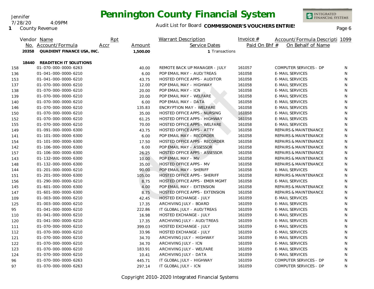Jennifer 7/28/20 4:09PM

**1** County Revenue

### Audit List for Board COMMISSIONER'S VOUCHERS ENTRIES<br>Page 6

|     |       | Vendor Name                | Rpt  |          | <b>Warrant Description</b>           | Invoice $#$   | Account/Formula Descripti 1099   |   |
|-----|-------|----------------------------|------|----------|--------------------------------------|---------------|----------------------------------|---|
|     |       | No. Account/Formula        | Accr | Amount   | Service Dates                        | Paid On Bhf # | On Behalf of Name                |   |
|     | 20358 | QUADIENT FINANCE USA, INC. |      | 1,500.00 | 1 Transactions                       |               |                                  |   |
|     | 18440 | READITECH IT SOLUTIONS     |      |          |                                      |               |                                  |   |
| 158 |       | 01-070-000-0000-6263       |      | 40.00    | REMOTE BACK UP MANAGER - JULY        | 161057        | COMPUTER SERVICES - DP           | N |
| 136 |       | 01-041-000-0000-6210       |      | 6.00     | POP EMAIL MAY - AUD/TREAS            | 161058        | <b>E-MAIL SERVICES</b>           | N |
| 153 |       | 01-041-000-0000-6210       |      | 43.75    | HOSTED OFFICE APPS - AUDITOR         | 161058        | <b>E-MAIL SERVICES</b>           | N |
| 137 |       | 01-070-000-0000-6210       |      | 12.00    | POP EMAIL MAY - HIGHWAY              | 161058        | <b>E-MAIL SERVICES</b>           | N |
| 138 |       | 01-070-000-0000-6210       |      | 20.00    | POP EMAIL MAY - ICN                  | 161058        | <b>E-MAIL SERVICES</b>           | N |
| 139 |       | 01-070-000-0000-6210       |      | 20.00    | POP EMAIL MAY - WELFARE              | 161058        | <b>E-MAIL SERVICES</b>           | N |
| 140 |       | 01-070-000-0000-6210       |      | 6.00     | POP EMAIL MAY - DATA                 | 161058        | <b>E-MAIL SERVICES</b>           | N |
| 146 |       | 01-070-000-0000-6210       |      | 135.83   | <b>ENCRYPTION MAY - WELFARE</b>      | 161058        | <b>E-MAIL SERVICES</b>           | N |
| 150 |       | 01-070-000-0000-6210       |      | 35.00    | <b>HOSTED OFFICE APPS - NURSING</b>  | 161058        | <b>E-MAIL SERVICES</b>           | N |
| 152 |       | 01-070-000-0000-6210       |      | 61.25    | <b>HOSTED OFFICE APPS - HIGHWAY</b>  | 161058        | <b>E-MAIL SERVICES</b>           | N |
| 155 |       | 01-070-000-0000-6210       |      | 70.00    | HOSTED OFFICE APPS - WELFARE         | 161058        | <b>E-MAIL SERVICES</b>           | N |
| 149 |       | 01-091-000-0000-6300       |      | 43.75    | <b>HOSTED OFFICE APPS - ATTY</b>     | 161058        | REPAIRS & MAINTENANCE            | N |
| 141 |       | 01-101-000-0000-6300       |      | 6.00     | POP EMAIL MAY - RECORDER             | 161058        | REPAIRS & MAINTENANCE            | N |
| 154 |       | 01-101-000-0000-6300       |      | 17.50    | HOSTED OFFICE APPS - RECORDER        | 161058        | <b>REPAIRS &amp; MAINTENANCE</b> | N |
| 142 |       | 01-106-000-0000-6300       |      | 6.00     | POP EMAIL MAY - ASSESSOR             | 161058        | REPAIRS & MAINTENANCE            | N |
| 157 |       | 01-106-000-0000-6300       |      | 26.25    | <b>HOSTED OFFICE APPS - ASSESSOR</b> | 161058        | <b>REPAIRS &amp; MAINTENANCE</b> | N |
| 143 |       | 01-132-000-0000-6300       |      | 10.00    | POP EMAIL MAY - MV                   | 161058        | <b>REPAIRS &amp; MAINTENANCE</b> | N |
| 148 |       | 01-132-000-0000-6300       |      | 35.00    | HOSTED OFFICE APPS - MV              | 161058        | <b>REPAIRS &amp; MAINTENANCE</b> | N |
| 144 |       | 01-201-000-0000-6210       |      | 90.00    | POP EMAIL MAY - SHERIFF              | 161058        | <b>E-MAIL SERVICES</b>           | N |
| 151 |       | 01-201-000-0000-6300       |      | 105.00   | <b>HOSTED OFFICE APPS - SHERIFF</b>  | 161058        | <b>REPAIRS &amp; MAINTENANCE</b> | N |
| 156 |       | 01-290-000-0000-6210       |      | 8.75     | HOSTED OFFICE APPS - EMER MGMT       | 161058        | <b>E-MAIL SERVICES</b>           | N |
| 145 |       | 01-601-000-0000-6300       |      | 4.00     | POP EMAIL MAY - EXTENSION            | 161058        | REPAIRS & MAINTENANCE            | N |
| 147 |       | 01-601-000-0000-6300       |      | 8.75     | HOSTED OFFICE APPS - EXTENSION       | 161058        | REPAIRS & MAINTENANCE            | N |
| 109 |       | 01-003-000-0000-6210       |      | 42.45    | <b>HOSTED EXCHANGE - JULY</b>        | 161059        | <b>E-MAIL SERVICES</b>           | N |
| 125 |       | 01-003-000-0000-6210       |      | 17.35    | ARCHIVING JULY - BOARD               | 161059        | <b>E-MAIL SERVICES</b>           | N |
| 95  |       | 01-041-000-0000-6210       |      | 222.86   | IT GLOBAL JULY - AUD/TREAS           | 161059        | <b>E-MAIL SERVICES</b>           | N |
| 110 |       | 01-041-000-0000-6210       |      | 16.98    | <b>HOSTED EXCHANGE - JULY</b>        | 161059        | <b>E-MAIL SERVICES</b>           | N |
| 120 |       | 01-041-000-0000-6210       |      | 17.35    | ARCHIVING JULY - AUD/TREAS           | 161059        | <b>E-MAIL SERVICES</b>           | N |
| 111 |       | 01-070-000-0000-6210       |      | 399.03   | HOSTED EXCHANGE - JULY               | 161059        | <b>E-MAIL SERVICES</b>           | N |
| 112 |       | 01-070-000-0000-6210       |      | 33.96    | <b>HOSTED EXCHANGE - JULY</b>        | 161059        | <b>E-MAIL SERVICES</b>           | N |
| 121 |       | 01-070-000-0000-6210       |      | 34.70    | ARCHIVING JULY - HIGHWAY             | 161059        | <b>E-MAIL SERVICES</b>           | N |
| 122 |       | 01-070-000-0000-6210       |      | 34.70    | ARCHIVING JULY - ICN                 | 161059        | <b>E-MAIL SERVICES</b>           | N |
| 123 |       | 01-070-000-0000-6210       |      | 183.91   | ARCHIVING JULY - WELFARE             | 161059        | <b>E-MAIL SERVICES</b>           | N |
| 124 |       | 01-070-000-0000-6210       |      | 10.41    | ARCHIVING JULY - DATA                | 161059        | <b>E-MAIL SERVICES</b>           | N |
| 96  |       | 01-070-000-0000-6263       |      | 445.71   | IT GLOBAL JULY - HIGHWAY             | 161059        | COMPUTER SERVICES - DP           | N |
| 97  |       | 01-070-000-0000-6263       |      | 297.14   | IT GLOBAL JULY - ICN                 | 161059        | COMPUTER SERVICES - DP           | N |

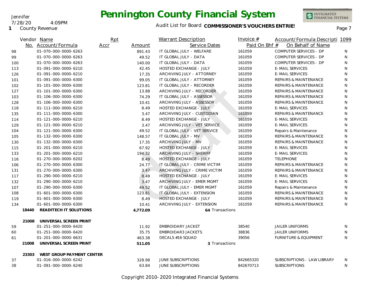INTEGRATED<br>FINANCIAL SYSTEMS

**1** County Revenue

7/28/20 4:09PM

Jennifer

### Audit List for Board COMMISSIONER'S VOUCHERS ENTRIES<br>Page 7

|     |       | Vendor Name                     | Rpt  |          | <b>Warrant Description</b>    | Invoice $#$   | Account/Formula Descripti 1099   |    |
|-----|-------|---------------------------------|------|----------|-------------------------------|---------------|----------------------------------|----|
|     |       | No. Account/Formula             | Accr | Amount   | Service Dates                 | Paid On Bhf # | On Behalf of Name                |    |
| 98  |       | 01-070-000-0000-6263            |      | 891.43   | IT GLOBAL JULY - WELFARE      | 161059        | COMPUTER SERVICES - DP           | N  |
| 99  |       | 01-070-000-0000-6263            |      | 49.52    | IT GLOBAL JULY - DATA         | 161059        | COMPUTER SERVICES - DP           | N  |
| 100 |       | 01-070-000-0000-6263            |      | 140.00   | IT GLOBAL JULY - DATA         | 161059        | COMPUTER SERVICES - DP           | N  |
| 113 |       | 01-091-000-0000-6210            |      | 42.45    | <b>HOSTED EXCHANGE - JULY</b> | 161059        | <b>E-MAIL SERVICES</b>           | N  |
| 126 |       | 01-091-000-0000-6210            |      | 17.35    | ARCHIVING JULY - ATTORNEY     | 161059        | <b>E-MAIL SERVICES</b>           | N  |
| 101 |       | 01-091-000-0000-6300            |      | 99.05    | IT GLOBAL JULY - ATTORNEY     | 161059        | <b>REPAIRS &amp; MAINTENANCE</b> | N  |
| 102 |       | 01-101-000-0000-6300            |      | 123.81   | IT GLOBAL JULY - RECORDER     | 161059        | <b>REPAIRS &amp; MAINTENANCE</b> | N  |
| 127 |       | 01-101-000-0000-6300            |      | 13.88    | ARCHIVING JULY - RECORDER     | 161059        | <b>REPAIRS &amp; MAINTENANCE</b> | N  |
| 103 |       | 01-106-000-0000-6300            |      | 74.29    | IT GLOBAL JULY - ASSESSOR     | 161059        | <b>REPAIRS &amp; MAINTENANCE</b> | N  |
| 128 |       | 01-106-000-0000-6300            |      | 10.41    | ARCHIVING JULY - ASSESSOR     | 161059        | <b>REPAIRS &amp; MAINTENANCE</b> | N  |
| 118 |       | 01-111-000-0000-6210            |      | 8.49     | <b>HOSTED EXCHANGE - JULY</b> | 161059        | <b>E-MAIL SERVICES</b>           | N  |
| 135 |       | 01-111-000-0000-6300            |      | 3.47     | ARCHIVING JULY - CUSTODIAN    | 161059        | REPAIRS & MAINTENANCE            | N  |
| 114 |       | 01-121-000-0000-6210            |      | 8.49     | <b>HOSTED EXCHANGE - JULY</b> | 161059        | <b>E-MAIL SERVICES</b>           | N  |
| 129 |       | 01-121-000-0000-6210            |      | 3.47     | ARCHIVING JULY - VET SERVICE  | 161059        | <b>E-MAIL SERVICES</b>           | N  |
| 104 |       | 01-121-000-0000-6300            |      | 49.52    | IT GLOBAL JULY - VET SERVICE  | 161059        | Repairs & Maintenance            | N  |
| 105 |       | 01-132-000-0000-6300            |      | 148.57   | IT GLOBAL JULY - MV           | 161059        | REPAIRS & MAINTENANCE            | N  |
| 130 |       | 01-132-000-0000-6300            |      | 17.35    | ARCHIVING JULY - MV           | 161059        | <b>REPAIRS &amp; MAINTENANCE</b> | N  |
| 115 |       | 01-201-000-0000-6210            |      | 67.92    | <b>HOSTED EXCHANGE - JULY</b> | 161059        | <b>E-MAIL SERVICES</b>           | N  |
| 133 |       | 01-201-000-0000-6210            |      | 194.32   | ARCHIVING JULY - SHERIFF      | 161059        | <b>E-MAIL SERVICES</b>           | N  |
| 116 |       | 01-270-000-0000-6202            |      | 8.49     | <b>HOSTED EXCHANGE - JULY</b> | 161059        | <b>TELEPHONE</b>                 | N  |
| 106 |       | 01-270-000-0000-6300            |      | 24.77    | IT GLOBAL JULY - CRIME VICTIM | 161059        | REPAIRS & MAINTENANCE            | N  |
| 131 |       | 01-270-000-0000-6300            |      | 3.47     | ARCHIVING JULY - CRIME VICTIM | 161059        | REPAIRS & MAINTENANCE            | N  |
| 117 |       | 01-290-000-0000-6210            |      | 8.49     | <b>HOSTED EXCHANGE - JULY</b> | 161059        | <b>E-MAIL SERVICES</b>           | N  |
| 132 |       | 01-290-000-0000-6210            |      | 3.47     | ARCHIVING JULY - EMER MGMT    | 161059        | <b>E-MAIL SERVICES</b>           | N  |
| 107 |       | 01-290-000-0000-6300            |      | 49.52    | IT GLOBAL JULY - EMER MGMT    | 161059        | Repairs & Maintenance            | N  |
| 108 |       | 01-601-000-0000-6300            |      | 123.81   | IT GLOBAL JULY - EXTENSION    | 161059        | REPAIRS & MAINTENANCE            | N  |
| 119 |       | 01-601-000-0000-6300            |      | 8.49     | <b>HOSTED EXCHANGE - JULY</b> | 161059        | <b>REPAIRS &amp; MAINTENANCE</b> | N  |
| 134 |       | 01-601-000-0000-6300            |      | 10.41    | ARCHIVING JULY - EXTENSION    | 161059        | <b>REPAIRS &amp; MAINTENANCE</b> | N  |
|     | 18440 | READITECH IT SOLUTIONS          |      | 4,772.09 | 64 Transactions               |               |                                  |    |
|     | 21008 | UNIVERSAL SCREEN PRINT          |      |          |                               |               |                                  |    |
| 59  |       | 01-251-000-0000-6420            |      | 11.92    | <b>EMBROIDARY JACKET</b>      | 38540         | <b>JAILER UNIFORMS</b>           | N. |
| 60  |       | 01-251-000-0000-6420            |      | 35.75    | <b>EMBROIDAR3 JACKETS</b>     | 38836         | <b>JAILER UNIFORMS</b>           | N  |
| 61  |       | 01-201-000-0000-6631            |      | 463.38   | DECALS #16 SQUAD              | 39056         | <b>FURNITURE &amp; EQUIPMENT</b> | N  |
|     | 21008 | UNIVERSAL SCREEN PRINT          |      | 511.05   | 3 Transactions                |               |                                  |    |
|     |       | 23303 WEST GROUP PAYMENT CENTER |      |          |                               |               |                                  |    |
| 37  |       | 01-016-000-0000-6242            |      | 328.98   | <b>JUNE SUBSCRIPTIONS</b>     | 842665320     | SUBSCRIPTIONS - LAW LIBRARY      | N. |
| 38  |       | 01-091-000-0000-6240            |      | 63.84    | <b>JUNE SUBSCRIPTIONS</b>     | 842670713     | <b>SUBSCRIPTIONS</b>             | N  |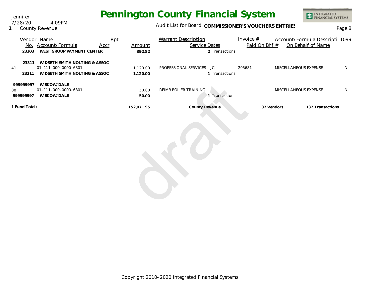Jennifer 7/28/20 4:09PM

**1** County Revenue

### Audit List for Board COMMISSIONER'S VOUCHERS ENTRIES

INTEGRATED<br>FINANCIAL SYSTEMS

| 23303                        | Vendor Name<br>No. Account/Formula<br>WEST GROUP PAYMENT CENTER                        | Rpt<br><b>Accr</b> | Amount<br>392.82     | <b>Warrant Description</b><br>Service Dates<br>2 Transactions | Invoice $#$<br>Paid On Bhf # | Account/Formula Descripti 1099<br>On Behalf of Name |   |
|------------------------------|----------------------------------------------------------------------------------------|--------------------|----------------------|---------------------------------------------------------------|------------------------------|-----------------------------------------------------|---|
| 23311<br>41<br>23311         | WIDSETH SMITH NOLTING & ASSOC<br>01-111-000-0000-6801<br>WIDSETH SMITH NOLTING & ASSOC |                    | 1,120.00<br>1,120.00 | PROFESSIONAL SERVICES - JC<br>1 Transactions                  | 205681                       | MISCELLANEOUS EXPENSE                               | N |
| 999999997<br>88<br>999999997 | WISKOW/DALE<br>01-111-000-0000-6801<br>WISKOW/DALE                                     |                    | 50.00<br>50.00       | REIMB BOILER TRAINING<br>1 Transactions                       |                              | MISCELLANEOUS EXPENSE                               | N |
| 1 Fund Total:                |                                                                                        |                    | 152,071.95           | County Revenue                                                | 37 Vendors                   | 137 Transactions                                    |   |
|                              |                                                                                        |                    |                      |                                                               |                              |                                                     |   |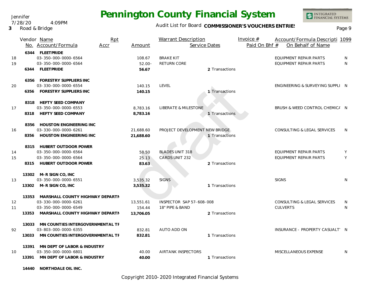#### Jennifer 7/28/20 4:09PM

**3** Road & Bridge

# **Pennington County Financial System**

### Audit List for Board COMMISSIONER'S VOUCHERS ENTRIES<br>Page 9

INTEGRATED<br>FINANCIAL SYSTEMS

|          |                | Vendor Name<br>No. Account/Formula                                                                                       | Rpt<br>Accr | Amount                           | <b>Warrant Description</b><br>Service Dates     |                | Invoice $#$<br>Paid On Bhf # | Account/Formula Descripti 1099<br>On Behalf of Name     |        |
|----------|----------------|--------------------------------------------------------------------------------------------------------------------------|-------------|----------------------------------|-------------------------------------------------|----------------|------------------------------|---------------------------------------------------------|--------|
| 18<br>19 |                | 6344 FLEETPRIDE<br>03-350-000-0000-6564<br>03-350-000-0000-6564<br>6344 FLEETPRIDE                                       |             | 108.67<br>$52.00 -$<br>56.67     | <b>BRAKE KIT</b><br><b>RETURN CORE</b>          | 2 Transactions |                              | EQUIPMENT REPAIR PARTS<br><b>EQUIPMENT REPAIR PARTS</b> | N<br>N |
| 20       |                | 6356 FORESTRY SUPPLIERS INC<br>03-330-000-0000-6554<br>6356 FORESTRY SUPPLIERS INC                                       |             | 140.15<br>140.15                 | LEVEL                                           | 1 Transactions |                              | ENGINEERING & SURVEYING SUPPLI N                        |        |
| 17       |                | 8318 HEFTY SEED COMPANY<br>03-350-000-0000-6553<br>8318 HEFTY SEED COMPANY                                               |             | 8,783.16<br>8.783.16             | <b>LIBERATE &amp; MILESTONE</b>                 | 1 Transactions |                              | BRUSH & WEED CONTROL CHEMICA N                          |        |
| 16       |                | 8356 HOUSTON ENGINEERING INC<br>03-330-000-0000-6261<br>8356 HOUSTON ENGINEERING INC                                     |             | 21,688.60<br>21,688.60           | PROJECT DEVELOPMENT NEW BRIDGE                  | 1 Transactions |                              | CONSULTING & LEGAL SERVICES                             | N      |
| 14<br>15 | 8315           | 8315 HUBERT OUTDOOR POWER<br>03-350-000-0000-6564<br>03-350-000-0000-6564<br>HUBERT OUTDOOR POWER                        |             | 58.50<br>25.13<br>83.63          | <b>BLADES UNIT 318</b><br><b>CARDS UNIT 232</b> | 2 Transactions |                              | EQUIPMENT REPAIR PARTS<br>EQUIPMENT REPAIR PARTS        | Y<br>Y |
| 13       |                | 13302 M-R SIGN CO, INC<br>03-350-000-0000-6551<br>13302 M-R SIGN CO, INC                                                 |             | 3,535.32<br>3,535.32             | <b>SIGNS</b>                                    | 1 Transactions |                              | <b>SIGNS</b>                                            | N      |
| 12<br>11 | 13353          | 13353 MARSHALL COUNTY HIGHWAY DEPARTN<br>03-330-000-0000-6261<br>03-350-000-0000-6549<br>MARSHALL COUNTY HIGHWAY DEPARTN |             | 13,551.61<br>154.44<br>13.706.05 | INSPECTOR SAP 57-608-008<br>18" PIPE & BAND     | 2 Transactions |                              | CONSULTING & LEGAL SERVICES<br><b>CULVERTS</b>          | N<br>N |
| 92       | 13033<br>13033 | MN COUNTIES INTERGOVERNMENTAL TF<br>03-803-000-0000-6355<br>MN COUNTIES INTERGOVERNMENTAL TF                             |             | 832.81<br>832.81                 | AUTO ADD ON                                     | 1 Transactions |                              | INSURANCE - PROPERTY CASUALT' N                         |        |
| 10       | 13391          | MN DEPT OF LABOR & INDUSTRY<br>03-350-000-0000-6801<br>13391 MN DEPT OF LABOR & INDUSTRY                                 |             | 40.00<br>40.00                   | <b>AIRTANK INSPECTORS</b>                       | 1 Transactions |                              | MISCELLANEOUS EXPENSE                                   | N      |

**14440 NORTHDALE OIL INC.**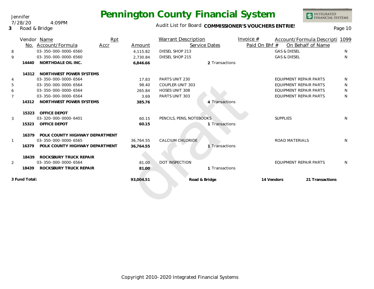Audit List for Board COMMISSIONER'S VOUCHERS ENTRIES<br>Page 10

|                |               | Vendor Name                          | Rpt  |           | <b>Warrant Description</b> |                | Invoice $#$   |                         | Account/Formula Descripti 1099 |              |
|----------------|---------------|--------------------------------------|------|-----------|----------------------------|----------------|---------------|-------------------------|--------------------------------|--------------|
|                | No.           | Account/Formula                      | Accr | Amount    | Service Dates              |                | Paid On Bhf # |                         | On Behalf of Name              |              |
| 8              |               | 03-350-000-0000-6560                 |      | 4,115.82  | DIESEL SHOP 213            |                |               | <b>GAS &amp; DIESEL</b> |                                | <sup>N</sup> |
| 9              |               | 03-350-000-0000-6560                 |      | 2,730.84  | DIESEL SHOP 215            |                |               | <b>GAS &amp; DIESEL</b> |                                | N            |
|                | 14440         | NORTHDALE OIL INC.                   |      | 6,846.66  |                            | 2 Transactions |               |                         |                                |              |
|                | 14312         | NORTHWEST POWER SYSTEMS              |      |           |                            |                |               |                         |                                |              |
| 4              |               | 03-350-000-0000-6564                 |      | 17.83     | PARTS UNIT 230             |                |               |                         | EQUIPMENT REPAIR PARTS         | N.           |
| 5              |               | 03-350-000-0000-6564                 |      | 98.40     | COUPLER UNIT 303           |                |               |                         | <b>EQUIPMENT REPAIR PARTS</b>  | N            |
| 6              |               | 03-350-000-0000-6564                 |      | 265.84    | <b>HOSES UNIT 308</b>      |                |               |                         | <b>EQUIPMENT REPAIR PARTS</b>  | N            |
| $\overline{7}$ |               | 03-350-000-0000-6564                 |      | 3.69      | PARTS UNIT 303             |                |               |                         | <b>EQUIPMENT REPAIR PARTS</b>  | N            |
|                | 14312         | NORTHWEST POWER SYSTEMS              |      | 385.76    |                            | 4 Transactions |               |                         |                                |              |
|                | 15323         | <b>OFFICE DEPOT</b>                  |      |           |                            |                |               |                         |                                |              |
| 3              |               | 03-320-000-0000-6401                 |      | 60.15     | PENCILS, PENS, NOTEBOOKS   |                |               | <b>SUPPLIES</b>         |                                | N            |
|                | 15323         | OFFICE DEPOT                         |      | 60.15     |                            | 1 Transactions |               |                         |                                |              |
|                |               | 16379 POLK COUNTY HIGHWAY DEPARTMENT |      |           |                            |                |               |                         |                                |              |
| $\mathbf{1}$   |               | 03-350-000-0000-6565                 |      | 36.764.55 | <b>CALCIUM CHLORIDE</b>    |                |               | <b>ROAD MATERIALS</b>   |                                | N            |
|                | 16379         | POLK COUNTY HIGHWAY DEPARTMENT       |      | 36,764.55 |                            | 1 Transactions |               |                         |                                |              |
|                | 18439         | ROCKSBURY TRUCK REPAIR               |      |           |                            |                |               |                         |                                |              |
| $\overline{2}$ |               | 03-350-000-0000-6564                 |      | 81.00     | <b>DOT INSPECTION</b>      |                |               |                         | EQUIPMENT REPAIR PARTS         | <sup>N</sup> |
|                | 18439         | ROCKSBURY TRUCK REPAIR               |      | 81.00     |                            | 1 Transactions |               |                         |                                |              |
|                | 3 Fund Total: |                                      |      | 93,004.51 | Road & Bridge              |                | 14 Vendors    |                         | 21 Transactions                |              |
|                |               |                                      |      |           |                            |                |               |                         |                                |              |
|                |               |                                      |      |           |                            |                |               |                         |                                |              |

#### Jennifer 7/28/20 4:09PM

**3** Road & Bridge

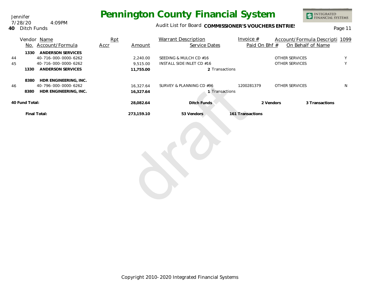Audit List for Board COMMISSIONER'S VOUCHERS ENTRIES<br>Page 11

#### Jennifer **40** Ditch Funds 7/28/20 4:09PM

|                          | Vendor Name<br>No. Account/Formula                                                            | Rpt<br>Accr | Amount                            | <b>Warrant Description</b><br>Service Dates                           | Invoice $#$<br>Paid On Bhf # | Account/Formula Descripti 1099<br>On Behalf of Name |        |
|--------------------------|-----------------------------------------------------------------------------------------------|-------------|-----------------------------------|-----------------------------------------------------------------------|------------------------------|-----------------------------------------------------|--------|
| 1330<br>44<br>45<br>1330 | <b>ANDERSON SERVICES</b><br>40-716-000-0000-6262<br>40-716-000-0000-6262<br>ANDERSON SERVICES |             | 2,240.00<br>9,515.00<br>11,755.00 | SEEDING & MULCH CD #16<br>INSTALL SIDE INLET CD #16<br>2 Transactions |                              | OTHER SERVICES<br>OTHER SERVICES                    | Y<br>Y |
| 8380<br>46<br>8380       | HDR ENGINEERING, INC.<br>40-796-000-0000-6262<br>HDR ENGINEERING, INC.                        |             | 16,327.64<br>16,327.64            | SURVEY & PLANNING CD #96<br>1 Transactions                            | 1200281379                   | OTHER SERVICES                                      | N      |
| 40 Fund Total:           |                                                                                               |             | 28,082.64                         | Ditch Funds                                                           | 2 Vendors                    | 3 Transactions                                      |        |
|                          | Final Total:                                                                                  |             | 273,159.10                        | 53 Vendors                                                            | 161 Transactions             |                                                     |        |
|                          |                                                                                               |             |                                   |                                                                       |                              |                                                     |        |

INTEGRATED<br>FINANCIAL SYSTEMS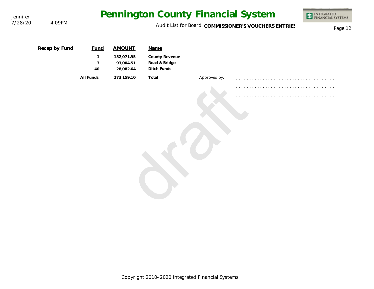| Jennifer |               |                                        |                                                       |                                                        |              | Pennington County Financial System                   | <b>INTEGRATED<br/>FINANCIAL SYSTEMS</b> |
|----------|---------------|----------------------------------------|-------------------------------------------------------|--------------------------------------------------------|--------------|------------------------------------------------------|-----------------------------------------|
| 7/28/20  | 4:09PM        |                                        |                                                       |                                                        |              | Audit List for Board COMMISSIONER'S VOUCHERS ENTRIES | Page 12                                 |
|          | Recap by Fund | <b>Fund</b><br>$\mathbf{1}$<br>3<br>40 | <b>AMOUNT</b><br>152,071.95<br>93,004.51<br>28,082.64 | Name<br>County Revenue<br>Road & Bridge<br>Ditch Funds |              |                                                      |                                         |
|          |               | All Funds                              | 273,159.10                                            | Total                                                  | Approved by, |                                                      |                                         |
|          |               |                                        |                                                       |                                                        |              |                                                      |                                         |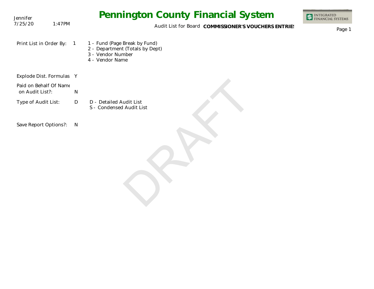| Jennifer                                  |        | <b>Pennington County Financial System</b>                                                                                  | INTEGRATED<br>FINANCIAL SYSTEMS |
|-------------------------------------------|--------|----------------------------------------------------------------------------------------------------------------------------|---------------------------------|
| 7/25/20                                   | 1:47PM | Audit List for Board COMMISSIONER'S VOUCHERS ENTRIES                                                                       | Page 1                          |
| Print List in Order By:                   |        | 1 - Fund (Page Break by Fund)<br>$\overline{1}$<br>2 - Department (Totals by Dept)<br>3 - Vendor Number<br>4 - Vendor Name |                                 |
| Explode Dist. Formulas Y                  |        |                                                                                                                            |                                 |
| Paid on Behalf Of Name<br>on Audit List?: |        | $\mathsf{N}$                                                                                                               |                                 |
| Type of Audit List:                       |        | $\mathsf{D}$<br>D - Detailed Audit List<br>S - Condensed Audit List                                                        |                                 |
| Save Report Options?:                     |        | $\mathsf{N}$                                                                                                               |                                 |
|                                           |        |                                                                                                                            |                                 |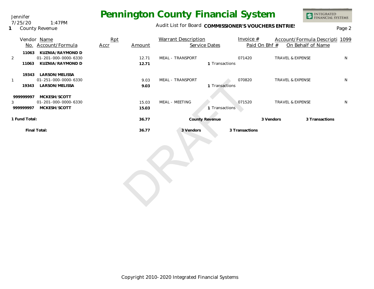

### Audit List for Board COMMISSIONER'S VOUCHERS ENTRIES<br>Page 2

|                             | Vendor Name<br>No. Account/Formula                                   | Rpt<br>Accr | Amount         | <b>Warrant Description</b><br>Service Dates | Invoice $#$<br>Paid On Bhf # | Account/Formula Descripti 1099<br>On Behalf of Name |   |
|-----------------------------|----------------------------------------------------------------------|-------------|----------------|---------------------------------------------|------------------------------|-----------------------------------------------------|---|
| $\overline{2}$<br>11063     | 11063 KUZNIA/RAYMOND D<br>01-201-000-0000-6330<br>KUZNIA/RAYMOND D   |             | 12.71<br>12.71 | MEAL - TRANSPORT<br>1 Transactions          | 071420                       | <b>TRAVEL &amp; EXPENSE</b>                         | N |
| $\mathbf{1}$                | 19343 LARSON/MELISSA<br>01-251-000-0000-6330<br>19343 LARSON/MELISSA |             | 9.03<br>9.03   | MEAL - TRANSPORT<br>1 Transactions          | 070820                       | TRAVEL & EXPENSE                                    | N |
| 999999997<br>3<br>999999997 | MCKESH/SCOTT<br>01-201-000-0000-6330<br>MCKESH/SCOTT                 |             | 15.03<br>15.03 | MEAL - MEETING<br>1 Transactions            | 071520                       | TRAVEL & EXPENSE                                    | N |
| 1 Fund Total:               |                                                                      |             | 36.77          | <b>County Revenue</b>                       |                              | 3 Transactions<br>3 Vendors                         |   |
| Final Total:                |                                                                      |             | 36.77          | 3 Vendors                                   | 3 Transactions               |                                                     |   |

**1** County Revenue 7/25/20 1:47PM

Jennifer